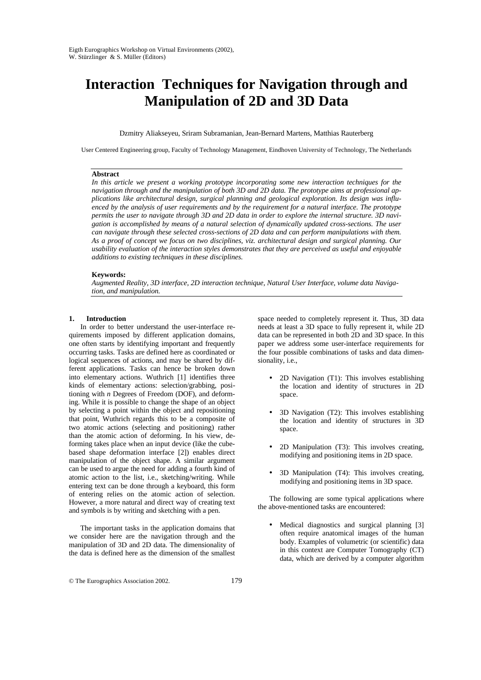# **Interaction Techniques for Navigation through and Manipulation of 2D and 3D Data**

Dzmitry Aliakseyeu, Sriram Subramanian, Jean-Bernard Martens, Matthias Rauterberg

User Centered Engineering group, Faculty of Technology Management, Eindhoven University of Technology, The Netherlands

## **Abstract**

*In this article we present a working prototype incorporating some new interaction techniques for the navigation through and the manipulation of both 3D and 2D data. The prototype aims at professional applications like architectural design, surgical planning and geological exploration. Its design was influenced by the analysis of user requirements and by the requirement for a natural interface. The prototype permits the user to navigate through 3D and 2D data in order to explore the internal structure. 3D navigation is accomplished by means of a natural selection of dynamically updated cross-sections. The user can navigate through these selected cross-sections of 2D data and can perform manipulations with them. As a proof of concept we focus on two disciplines, viz. architectural design and surgical planning. Our usability evaluation of the interaction styles demonstrates that they are perceived as useful and enjoyable additions to existing techniques in these disciplines.*

## **Keywords:**

*Augmented Reality, 3D interface, 2D interaction technique, Natural User Interface, volume data Navigation, and manipulation.*

#### **1. Introduction**

In order to better understand the user-interface requirements imposed by different application domains, one often starts by identifying important and frequently occurring tasks. Tasks are defined here as coordinated or logical sequences of actions, and may be shared by different applications. Tasks can hence be broken down into elementary actions. Wuthrich [1] identifies three kinds of elementary actions: selection/grabbing, positioning with *n* Degrees of Freedom (DOF), and deforming. While it is possible to change the shape of an object by selecting a point within the object and repositioning that point, Wuthrich regards this to be a composite of two atomic actions (selecting and positioning) rather than the atomic action of deforming. In his view, deforming takes place when an input device (like the cubebased shape deformation interface [2]) enables direct manipulation of the object shape. A similar argument can be used to argue the need for adding a fourth kind of atomic action to the list, i.e., sketching/writing. While entering text can be done through a keyboard, this form of entering relies on the atomic action of selection. However, a more natural and direct way of creating text and symbols is by writing and sketching with a pen.

The important tasks in the application domains that we consider here are the navigation through and the manipulation of 3D and 2D data. The dimensionality of the data is defined here as the dimension of the smallest

space needed to completely represent it. Thus, 3D data needs at least a 3D space to fully represent it, while 2D data can be represented in both 2D and 3D space. In this paper we address some user-interface requirements for the four possible combinations of tasks and data dimensionality, i.e.,

- 2D Navigation (T1): This involves establishing the location and identity of structures in 2D space.
- 3D Navigation (T2): This involves establishing the location and identity of structures in 3D space.
- 2D Manipulation (T3): This involves creating, modifying and positioning items in 2D space.
- 3D Manipulation (T4): This involves creating, modifying and positioning items in 3D space.

The following are some typical applications where the above-mentioned tasks are encountered:

Medical diagnostics and surgical planning [3] often require anatomical images of the human body. Examples of volumetric (or scientific) data in this context are Computer Tomography (CT) data, which are derived by a computer algorithm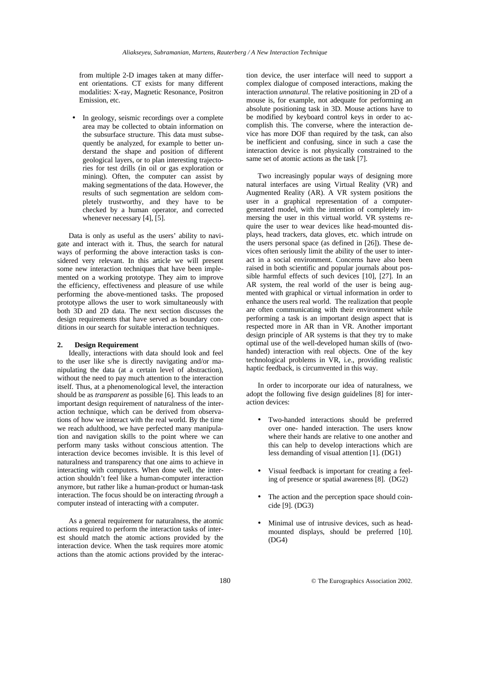from multiple 2-D images taken at many different orientations. CT exists for many different modalities: X-ray, Magnetic Resonance, Positron Emission, etc.

• In geology, seismic recordings over a complete area may be collected to obtain information on the subsurface structure. This data must subsequently be analyzed, for example to better understand the shape and position of different geological layers, or to plan interesting trajectories for test drills (in oil or gas exploration or mining). Often, the computer can assist by making segmentations of the data. However, the results of such segmentation are seldom completely trustworthy, and they have to be checked by a human operator, and corrected whenever necessary  $[4]$ ,  $[5]$ .

Data is only as useful as the users' ability to navigate and interact with it. Thus, the search for natural ways of performing the above interaction tasks is considered very relevant. In this article we will present some new interaction techniques that have been implemented on a working prototype. They aim to improve the efficiency, effectiveness and pleasure of use while performing the above-mentioned tasks. The proposed prototype allows the user to work simultaneously with both 3D and 2D data. The next section discusses the design requirements that have served as boundary conditions in our search for suitable interaction techniques.

## **2. Design Requirement**

Ideally, interactions with data should look and feel to the user like s/he is directly navigating and/or manipulating the data (at a certain level of abstraction), without the need to pay much attention to the interaction itself. Thus, at a phenomenological level, the interaction should be as *transparent* as possible [6]. This leads to an important design requirement of naturalness of the interaction technique, which can be derived from observations of how we interact with the real world. By the time we reach adulthood, we have perfected many manipulation and navigation skills to the point where we can perform many tasks without conscious attention. The interaction device becomes invisible. It is this level of naturalness and transparency that one aims to achieve in interacting with computers. When done well, the interaction shouldn't feel like a human-computer interaction anymore, but rather like a human-product or human-task interaction. The focus should be on interacting *through* a computer instead of interacting *with* a computer.

As a general requirement for naturalness, the atomic actions required to perform the interaction tasks of interest should match the atomic actions provided by the interaction device. When the task requires more atomic actions than the atomic actions provided by the interac-

tion device, the user interface will need to support a complex dialogue of composed interactions, making the interaction *unnatural*. The relative positioning in 2D of a mouse is, for example, not adequate for performing an absolute positioning task in 3D. Mouse actions have to be modified by keyboard control keys in order to accomplish this. The converse, where the interaction device has more DOF than required by the task, can also be inefficient and confusing, since in such a case the interaction device is not physically constrained to the same set of atomic actions as the task [7].

Two increasingly popular ways of designing more natural interfaces are using Virtual Reality (VR) and Augmented Reality (AR). A VR system positions the user in a graphical representation of a computergenerated model, with the intention of completely immersing the user in this virtual world. VR systems require the user to wear devices like head-mounted displays, head trackers, data gloves, etc. which intrude on the users personal space (as defined in [26]). These devices often seriously limit the ability of the user to interact in a social environment. Concerns have also been raised in both scientific and popular journals about possible harmful effects of such devices [10], [27]. In an AR system, the real world of the user is being augmented with graphical or virtual information in order to enhance the users real world. The realization that people are often communicating with their environment while performing a task is an important design aspect that is respected more in AR than in VR. Another important design principle of AR systems is that they try to make optimal use of the well-developed human skills of (twohanded) interaction with real objects. One of the key technological problems in VR, i.e., providing realistic haptic feedback, is circumvented in this way.

In order to incorporate our idea of naturalness, we adopt the following five design guidelines [8] for interaction devices:

- Two-handed interactions should be preferred over one- handed interaction. The users know where their hands are relative to one another and this can help to develop interactions which are less demanding of visual attention [1]. (DG1)
- Visual feedback is important for creating a feeling of presence or spatial awareness [8]. (DG2)
- The action and the perception space should coincide [9]. (DG3)
- Minimal use of intrusive devices, such as headmounted displays, should be preferred [10]. (DG4)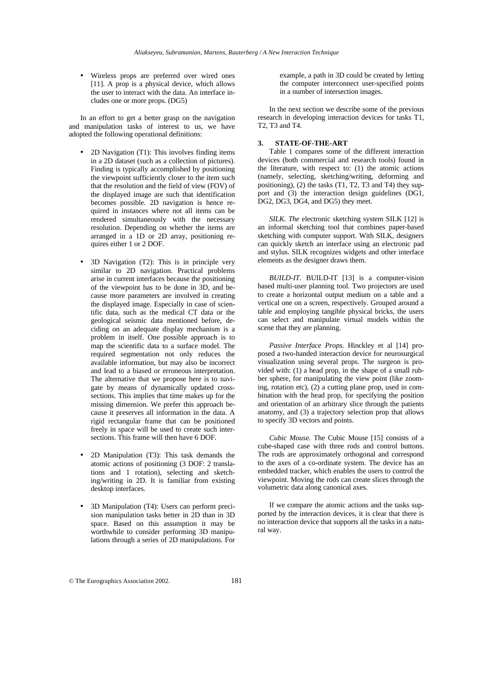• Wireless props are preferred over wired ones [11]. A prop is a physical device, which allows the user to interact with the data. An interface includes one or more props. (DG5)

In an effort to get a better grasp on the navigation and manipulation tasks of interest to us, we have adopted the following operational definitions:

- 2D Navigation (T1): This involves finding items in a 2D dataset (such as a collection of pictures). Finding is typically accomplished by positioning the viewpoint sufficiently closer to the item such that the resolution and the field of view (FOV) of the displayed image are such that identification becomes possible. 2D navigation is hence required in instances where not all items can be rendered simultaneously with the necessary resolution. Depending on whether the items are arranged in a 1D or 2D array, positioning requires either 1 or 2 DOF.
- 3D Navigation (T2): This is in principle very similar to 2D navigation. Practical problems arise in current interfaces because the positioning of the viewpoint has to be done in 3D, and because more parameters are involved in creating the displayed image. Especially in case of scientific data, such as the medical CT data or the geological seismic data mentioned before, deciding on an adequate display mechanism is a problem in itself. One possible approach is to map the scientific data to a surface model. The required segmentation not only reduces the available information, but may also be incorrect and lead to a biased or erroneous interpretation. The alternative that we propose here is to navigate by means of dynamically updated crosssections. This implies that time makes up for the missing dimension. We prefer this approach because it preserves all information in the data. A rigid rectangular frame that can be positioned freely in space will be used to create such intersections. This frame will then have 6 DOF.
- 2D Manipulation (T3): This task demands the atomic actions of positioning (3 DOF: 2 translations and 1 rotation), selecting and sketching/writing in 2D. It is familiar from existing desktop interfaces.
- 3D Manipulation (T4): Users can perform precision manipulation tasks better in 2D than in 3D space. Based on this assumption it may be worthwhile to consider performing 3D manipulations through a series of 2D manipulations. For

example, a path in 3D could be created by letting the computer interconnect user-specified points in a number of intersection images.

In the next section we describe some of the previous research in developing interaction devices for tasks T1, T2, T3 and T4.

## **3. STATE-OF-THE-ART**

Table 1 compares some of the different interaction devices (both commercial and research tools) found in the literature, with respect to: (1) the atomic actions (namely, selecting, sketching/writing, deforming and positioning), (2) the tasks (T1, T2, T3 and T4) they support and (3) the interaction design guidelines (DG1, DG2, DG3, DG4, and DG5) they meet.

*SILK. The* electronic sketching system SILK [12] is an informal sketching tool that combines paper-based sketching with computer support. With SILK, designers can quickly sketch an interface using an electronic pad and stylus. SILK recognizes widgets and other interface elements as the designer draws them.

*BUILD-IT.* BUILD-IT [13] is a computer-vision based multi-user planning tool. Two projectors are used to create a horizontal output medium on a table and a vertical one on a screen, respectively. Grouped around a table and employing tangible physical bricks, the users can select and manipulate virtual models within the scene that they are planning.

*Passive Interface Props.* Hinckley et al [14] proposed a two-handed interaction device for neurosurgical visualization using several props. The surgeon is provided with: (1) a head prop*,* in the shape of a small rubber sphere, for manipulating the view point (like zooming, rotation etc), (2) a cutting plane prop, used in combination with the head prop, for specifying the position and orientation of an arbitrary slice through the patients anatomy, and (3) a trajectory selection prop that allows to specify 3D vectors and points.

*Cubic Mouse.* The Cubic Mouse [15] consists of a cube-shaped case with three rods and control buttons. The rods are approximately orthogonal and correspond to the axes of a co-ordinate system. The device has an embedded tracker, which enables the users to control the viewpoint. Moving the rods can create slices through the volumetric data along canonical axes.

If we compare the atomic actions and the tasks supported by the interaction devices, it is clear that there is no interaction device that supports all the tasks in a natural way.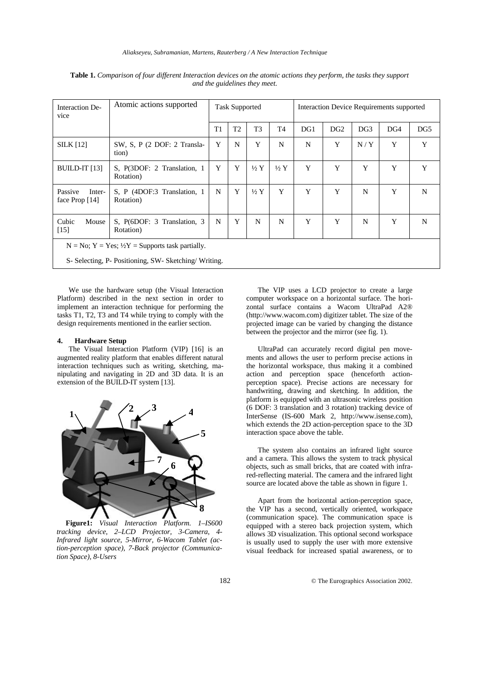| Interaction De-<br>vice                                          | Atomic actions supported                 | <b>Task Supported</b> |                |                 | Interaction Device Requirements supported |     |                 |                 |     |                 |
|------------------------------------------------------------------|------------------------------------------|-----------------------|----------------|-----------------|-------------------------------------------|-----|-----------------|-----------------|-----|-----------------|
|                                                                  |                                          | T1                    | T <sub>2</sub> | T <sub>3</sub>  | T <sub>4</sub>                            | DG1 | DG <sub>2</sub> | DG <sub>3</sub> | DG4 | DG <sub>5</sub> |
| <b>SILK</b> [12]                                                 | SW, S, P (2 DOF: 2 Transla-<br>tion)     | Y                     | N              | Y               | N                                         | N   | Y               | N/Y             | Y   | Y               |
| BUILD-IT [13]                                                    | S, P(3DOF: 2 Translation, 1<br>Rotation) | Y                     | Y              | $\frac{1}{2}$ Y | $\frac{1}{2}Y$                            | Y   | Y               | Y               | Y   | Y               |
| Passive<br>Inter-<br>face Prop [14]                              | S, P (4DOF:3 Translation, 1<br>Rotation) | N                     | Y              | $\frac{1}{2}$ Y | Y                                         | Y   | Y               | N               | Y   | N               |
| Cubic<br>Mouse<br>$[15]$                                         | S, P(6DOF: 3 Translation, 3<br>Rotation) | N                     | Y              | N               | N                                         | Y   | Y               | N               | Y   | N               |
| $N = No$ ; $Y = Yes$ ; $\frac{1}{2}Y =$ Supports task partially. |                                          |                       |                |                 |                                           |     |                 |                 |     |                 |
| S- Selecting, P- Positioning, SW- Sketching/Writing.             |                                          |                       |                |                 |                                           |     |                 |                 |     |                 |

**Table 1.** *Comparison of four different Interaction devices on the atomic actions they perform, the tasks they support and the guidelines they meet.*

We use the hardware setup (the Visual Interaction Platform) described in the next section in order to implement an interaction technique for performing the tasks T1, T2, T3 and T4 while trying to comply with the design requirements mentioned in the earlier section.

## **4. Hardware Setup**

The Visual Interaction Platform (VIP) [16] is an augmented reality platform that enables different natural interaction techniques such as writing, sketching, manipulating and navigating in 2D and 3D data. It is an extension of the BUILD-IT system [13].



**Figure1:** *Visual Interaction Platform. 1–IS600 tracking device, 2–LCD Projector, 3-Camera, 4- Infrared light source, 5-Mirror, 6-Wacom Tablet (action-perception space), 7-Back projector (Communication Space), 8-Users*

The VIP uses a LCD projector to create a large computer workspace on a horizontal surface. The horizontal surface contains a Wacom UltraPad A2® (http://www.wacom.com) digitizer tablet. The size of the projected image can be varied by changing the distance between the projector and the mirror (see fig. 1).

UltraPad can accurately record digital pen movements and allows the user to perform precise actions in the horizontal workspace, thus making it a combined action and perception space (henceforth actionperception space). Precise actions are necessary for handwriting, drawing and sketching. In addition, the platform is equipped with an ultrasonic wireless position (6 DOF: 3 translation and 3 rotation) tracking device of InterSense (IS-600 Mark 2, http://www.isense.com), which extends the 2D action-perception space to the 3D interaction space above the table.

The system also contains an infrared light source and a camera. This allows the system to track physical objects, such as small bricks, that are coated with infrared-reflecting material. The camera and the infrared light source are located above the table as shown in figure 1.

Apart from the horizontal action-perception space, the VIP has a second, vertically oriented, workspace (communication space). The communication space is equipped with a stereo back projection system, which allows 3D visualization. This optional second workspace is usually used to supply the user with more extensive visual feedback for increased spatial awareness, or to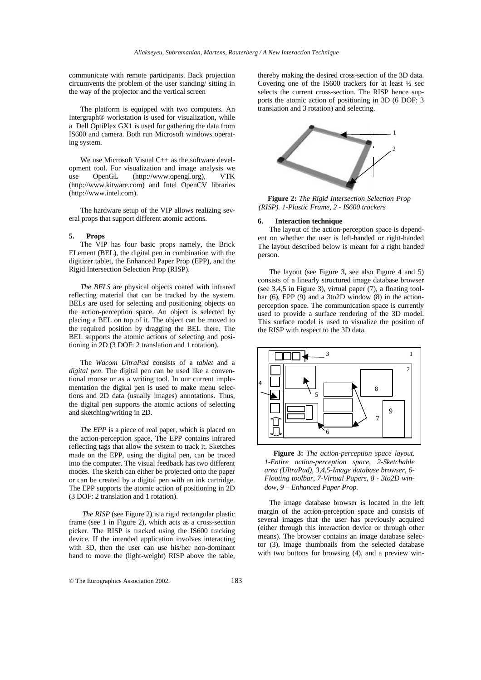communicate with remote participants. Back projection circumvents the problem of the user standing/ sitting in the way of the projector and the vertical screen

The platform is equipped with two computers. An Intergraph® workstation is used for visualization, while a Dell OptiPlex GX1 is used for gathering the data from IS600 and camera. Both run Microsoft windows operating system.

We use Microsoft Visual C++ as the software development tool. For visualization and image analysis we use OpenGL (http://www.opengl.org), VTK (http://www.kitware.com) and Intel OpenCV libraries (http://www.intel.com).

The hardware setup of the VIP allows realizing several props that support different atomic actions.

#### **5. Props**

The VIP has four basic props namely, the Brick ELement (BEL), the digital pen in combination with the digitizer tablet, the Enhanced Paper Prop (EPP), and the Rigid Intersection Selection Prop (RISP).

*The BELS* are physical objects coated with infrared reflecting material that can be tracked by the system. BELs are used for selecting and positioning objects on the action-perception space. An object is selected by placing a BEL on top of it. The object can be moved to the required position by dragging the BEL there. The BEL supports the atomic actions of selecting and positioning in 2D (3 DOF: 2 translation and 1 rotation).

The *Wacom UltraPad* consists of a *tablet* and a *digital pen*. The digital pen can be used like a conventional mouse or as a writing tool. In our current implementation the digital pen is used to make menu selections and 2D data (usually images) annotations. Thus, the digital pen supports the atomic actions of selecting and sketching/writing in 2D.

*The EPP* is a piece of real paper, which is placed on the action-perception space, The EPP contains infrared reflecting tags that allow the system to track it. Sketches made on the EPP, using the digital pen, can be traced into the computer. The visual feedback has two different modes. The sketch can either be projected onto the paper or can be created by a digital pen with an ink cartridge. The EPP supports the atomic action of positioning in 2D (3 DOF: 2 translation and 1 rotation).

 *The RISP* (see Figure 2) is a rigid rectangular plastic frame (see 1 in Figure 2), which acts as a cross-section picker. The RISP is tracked using the IS600 tracking device. If the intended application involves interacting with 3D, then the user can use his/her non-dominant hand to move the (light-weight) RISP above the table,

thereby making the desired cross-section of the 3D data. Covering one of the IS600 trackers for at least ½ sec selects the current cross-section. The RISP hence supports the atomic action of positioning in 3D (6 DOF: 3 translation and 3 rotation) and selecting.



**Figure 2:** *The Rigid Intersection Selection Prop (RISP). 1-Plastic Frame, 2 - IS600 trackers*

#### **6. Interaction technique**

The layout of the action-perception space is dependent on whether the user is left-handed or right-handed The layout described below is meant for a right handed person.

The layout (see Figure 3, see also Figure 4 and 5) consists of a linearly structured image database browser (see 3,4,5 in Figure 3), virtual paper (7), a floating toolbar (6), EPP (9) and a 3to2D window (8) in the actionperception space. The communication space is currently used to provide a surface rendering of the 3D model. This surface model is used to visualize the position of the RISP with respect to the 3D data.



**Figure 3:** *The action-perception space layout. 1-Entire action-perception space, 2-Sketchable area (UltraPad), 3,4,5-Image database browser, 6- Floating toolbar, 7-Virtual Papers, 8 - 3to2D window, 9 – Enhanced Paper Prop.*

The image database browser is located in the left margin of the action-perception space and consists of several images that the user has previously acquired (either through this interaction device or through other means). The browser contains an image database selector (3), image thumbnails from the selected database with two buttons for browsing (4), and a preview win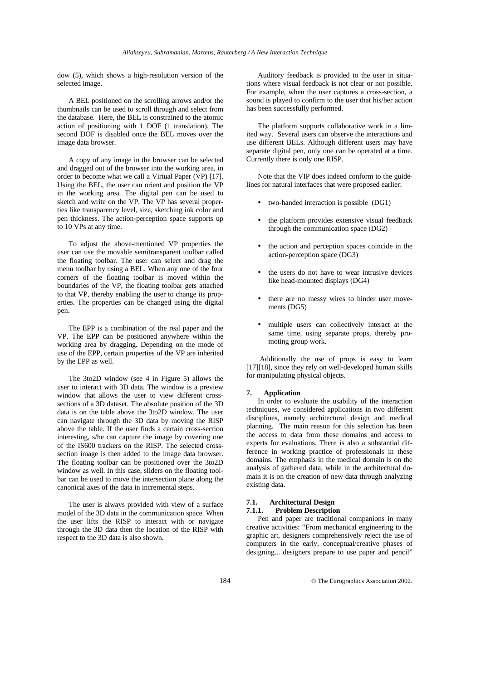dow (5), which shows a high-resolution version of the selected image.

A BEL positioned on the scrolling arrows and/or the thumbnails can be used to scroll through and select from the database. Here, the BEL is constrained to the atomic action of positioning with 1 DOF (1 translation). The second DOF is disabled once the BEL moves over the image data browser.

A copy of any image in the browser can be selected and dragged out of the browser into the working area, in order to become what we call a Virtual Paper (VP) [17]. Using the BEL, the user can orient and position the VP in the working area. The digital pen can be used to sketch and write on the VP. The VP has several properties like transparency level, size, sketching ink color and pen thickness. The action-perception space supports up to 10 VPs at any time.

To adjust the above-mentioned VP properties the user can use the movable semitransparent toolbar called the floating toolbar. The user can select and drag the menu toolbar by using a BEL. When any one of the four corners of the floating toolbar is moved within the boundaries of the VP, the floating toolbar gets attached to that VP, thereby enabling the user to change its properties. The properties can be changed using the digital pen.

The EPP is a combination of the real paper and the VP. The EPP can be positioned anywhere within the working area by dragging. Depending on the mode of use of the EPP, certain properties of the VP are inherited by the EPP as well.

The 3to2D window (see 4 in Figure 5) allows the user to interact with 3D data. The window is a preview window that allows the user to view different crosssections of a 3D dataset. The absolute position of the 3D data is on the table above the 3to2D window. The user can navigate through the 3D data by moving the RISP above the table. If the user finds a certain cross-section interesting, s/he can capture the image by covering one of the IS600 trackers on the RISP. The selected crosssection image is then added to the image data browser. The floating toolbar can be positioned over the 3to2D window as well. In this case, sliders on the floating toolbar can be used to move the intersection plane along the canonical axes of the data in incremental steps.

The user is always provided with view of a surface model of the 3D data in the communication space. When the user lifts the RISP to interact with or navigate through the 3D data then the location of the RISP with respect to the 3D data is also shown.

Auditory feedback is provided to the user in situations where visual feedback is not clear or not possible. For example, when the user captures a cross-section, a sound is played to confirm to the user that his/her action has been successfully performed.

The platform supports collaborative work in a limited way. Several users can observe the interactions and use different BELs. Although different users may have separate digital pen, only one can be operated at a time. Currently there is only one RISP.

Note that the VIP does indeed conform to the guidelines for natural interfaces that were proposed earlier:

- two-handed interaction is possible (DG1)
- the platform provides extensive visual feedback through the communication space (DG2)
- the action and perception spaces coincide in the action-perception space (DG3)
- the users do not have to wear intrusive devices like head-mounted displays (DG4)
- there are no messy wires to hinder user movements (DG5)
- multiple users can collectively interact at the same time, using separate props, thereby promoting group work.

 Additionally the use of props is easy to learn [17][18], since they rely on well-developed human skills for manipulating physical objects.

## **7. Application**

In order to evaluate the usability of the interaction techniques, we considered applications in two different disciplines, namely architectural design and medical planning. The main reason for this selection has been the access to data from these domains and access to experts for evaluations. There is also a substantial difference in working practice of professionals in these domains. The emphasis in the medical domain is on the analysis of gathered data, while in the architectural domain it is on the creation of new data through analyzing existing data.

## **7.1. Architectural Design**

## **7.1.1. Problem Description**

Pen and paper are traditional companions in many creative activities: "From mechanical engineering to the graphic art, designers comprehensively reject the use of computers in the early, conceptual/creative phases of designing... designers prepare to use paper and pencil"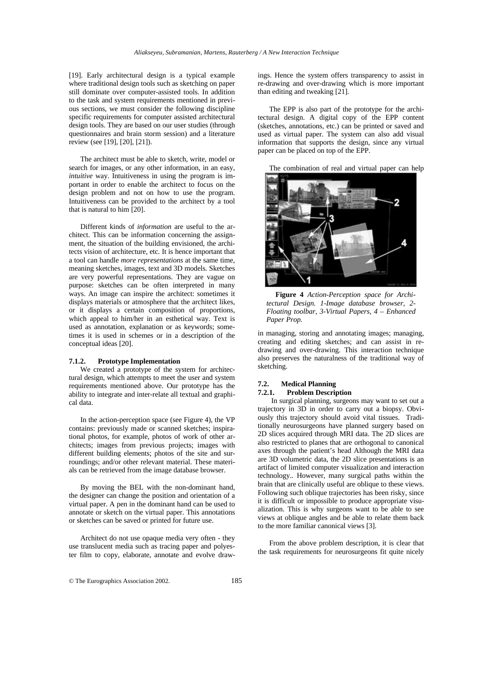[19]. Early architectural design is a typical example where traditional design tools such as sketching on paper still dominate over computer-assisted tools. In addition to the task and system requirements mentioned in previous sections, we must consider the following discipline specific requirements for computer assisted architectural design tools. They are based on our user studies (through questionnaires and brain storm session) and a literature review (see [19], [20], [21]).

The architect must be able to sketch, write, model or search for images, or any other information, in an easy, *intuitive* way. Intuitiveness in using the program is important in order to enable the architect to focus on the design problem and not on how to use the program. Intuitiveness can be provided to the architect by a tool that is natural to him [20].

Different kinds of *information* are useful to the architect. This can be information concerning the assignment, the situation of the building envisioned, the architects vision of architecture, etc. It is hence important that a tool can handle *more representations* at the same time, meaning sketches, images, text and 3D models. Sketches are very powerful representations. They are vague on purpose: sketches can be often interpreted in many ways. An image can inspire the architect: sometimes it displays materials or atmosphere that the architect likes, or it displays a certain composition of proportions, which appeal to him/her in an esthetical way. Text is used as annotation, explanation or as keywords; sometimes it is used in schemes or in a description of the conceptual ideas [20].

## **7.1.2. Prototype Implementation**

We created a prototype of the system for architectural design, which attempts to meet the user and system requirements mentioned above. Our prototype has the ability to integrate and inter-relate all textual and graphical data.

In the action-perception space (see Figure 4), the VP contains: previously made or scanned sketches; inspirational photos, for example, photos of work of other architects; images from previous projects; images with different building elements; photos of the site and surroundings; and/or other relevant material. These materials can be retrieved from the image database browser.

By moving the BEL with the non-dominant hand, the designer can change the position and orientation of a virtual paper. A pen in the dominant hand can be used to annotate or sketch on the virtual paper. This annotations or sketches can be saved or printed for future use.

Architect do not use opaque media very often - they use translucent media such as tracing paper and polyester film to copy, elaborate, annotate and evolve drawings. Hence the system offers transparency to assist in re-drawing and over-drawing which is more important than editing and tweaking [21].

The EPP is also part of the prototype for the architectural design. A digital copy of the EPP content (sketches, annotations, etc.) can be printed or saved and used as virtual paper. The system can also add visual information that supports the design, since any virtual paper can be placed on top of the EPP.

The combination of real and virtual paper can help



**Figure 4** *Action-Perception space for Architectural Design. 1-Image database browser, 2- Floating toolbar, 3-Virtual Papers, 4 – Enhanced Paper Prop.*

in managing, storing and annotating images; managing, creating and editing sketches; and can assist in redrawing and over-drawing. This interaction technique also preserves the naturalness of the traditional way of sketching.

## **7.2. Medical Planning**

**7.2.1. Problem Description**

 In surgical planning, surgeons may want to set out a trajectory in 3D in order to carry out a biopsy. Obviously this trajectory should avoid vital tissues. Traditionally neurosurgeons have planned surgery based on 2D slices acquired through MRI data. The 2D slices are also restricted to planes that are orthogonal to canonical axes through the patient's head Although the MRI data are 3D volumetric data, the 2D slice presentations is an artifact of limited computer visualization and interaction technology.. However, many surgical paths within the brain that are clinically useful are oblique to these views. Following such oblique trajectories has been risky, since it is difficult or impossible to produce appropriate visualization. This is why surgeons want to be able to see views at oblique angles and be able to relate them back to the more familiar canonical views [3].

From the above problem description, it is clear that the task requirements for neurosurgeons fit quite nicely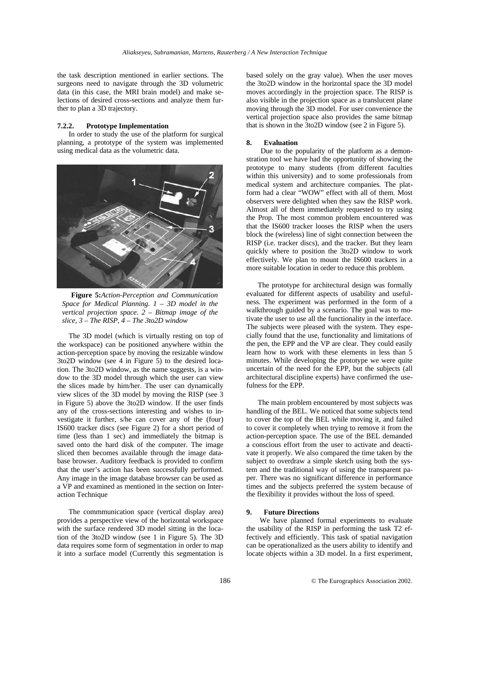the task description mentioned in earlier sections. The surgeons need to navigate through the 3D volumetric data (in this case, the MRI brain model) and make selections of desired cross-sections and analyze them further to plan a 3D trajectory.

#### **7.2.2. Prototype Implementation**

In order to study the use of the platform for surgical planning, a prototype of the system was implemented using medical data as the volumetric data.



**Figure 5:***Action-Perception and Communication Space for Medical Planning. 1 – 3D model in the vertical projection space. 2 – Bitmap image of the slice, 3 – The RISP, 4 – The 3to2D window*

The 3D model (which is virtually resting on top of the workspace) can be positioned anywhere within the action-perception space by moving the resizable window 3to2D window (see 4 in Figure 5) to the desired location. The 3to2D window, as the name suggests, is a window to the 3D model through which the user can view the slices made by him/her. The user can dynamically view slices of the 3D model by moving the RISP (see 3 in Figure 5) above the 3to2D window. If the user finds any of the cross-sections interesting and wishes to investigate it further, s/he can cover any of the (four) IS600 tracker discs (see Figure 2) for a short period of time (less than 1 sec) and immediately the bitmap is saved onto the hard disk of the computer. The image sliced then becomes available through the image database browser. Auditory feedback is provided to confirm that the user's action has been successfully performed. Any image in the image database browser can be used as a VP and examined as mentioned in the section on Interaction Technique

The commmunication space (vertical display area) provides a perspective view of the horizontal workspace with the surface rendered 3D model sitting in the location of the 3to2D window (see 1 in Figure 5). The 3D data requires some form of segmentation in order to map it into a surface model (Currently this segmentation is

based solely on the gray value). When the user moves the 3to2D window in the horizontal space the 3D model moves accordingly in the projection space. The RISP is also visible in the projection space as a translucent plane moving through the 3D model. For user convenience the vertical projection space also provides the same bitmap that is shown in the 3to2D window (see 2 in Figure 5).

#### **8. Evaluation**

 Due to the popularity of the platform as a demonstration tool we have had the opportunity of showing the prototype to many students (from different faculties within this university) and to some professionals from medical system and architecture companies. The platform had a clear "WOW" effect with all of them. Most observers were delighted when they saw the RISP work. Almost all of them immediately requested to try using the Prop. The most common problem encountered was that the IS600 tracker looses the RISP when the users block the (wireless) line of sight connection between the RISP (i.e. tracker discs), and the tracker. But they learn quickly where to position the 3to2D window to work effectively. We plan to mount the IS600 trackers in a more suitable location in order to reduce this problem.

The prototype for architectural design was formally evaluated for different aspects of usability and usefulness. The experiment was performed in the form of a walkthrough guided by a scenario. The goal was to motivate the user to use all the functionality in the interface. The subjects were pleased with the system. They especially found that the use, functionality and limitations of the pen, the EPP and the VP are clear. They could easily learn how to work with these elements in less than 5 minutes. While developing the prototype we were quite uncertain of the need for the EPP, but the subjects (all architectural discipline experts) have confirmed the usefulness for the EPP.

The main problem encountered by most subjects was handling of the BEL. We noticed that some subjects tend to cover the top of the BEL while moving it, and failed to cover it completely when trying to remove it from the action-perception space. The use of the BEL demanded a conscious effort from the user to activate and deactivate it properly. We also compared the time taken by the subject to overdraw a simple sketch using both the system and the traditional way of using the transparent paper. There was no significant difference in performance times and the subjects preferred the system because of the flexibility it provides without the loss of speed.

#### **9. Future Directions**

 We have planned formal experiments to evaluate the usability of the RISP in performing the task T2 effectively and efficiently. This task of spatial navigation can be operationalized as the users ability to identify and locate objects within a 3D model. In a first experiment,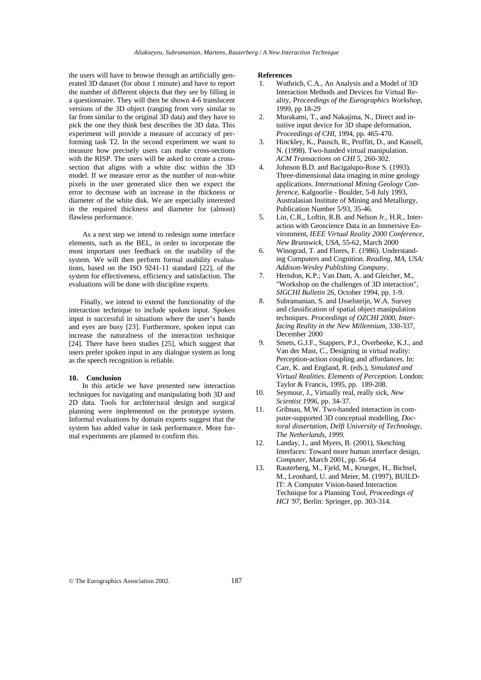the users will have to browse through an artificially generated 3D dataset (for about 1 minute) and have to report the number of different objects that they see by filling in a questionnaire. They will then be shown 4-6 translucent versions of the 3D object (ranging from very similar to far from similar to the original 3D data) and they have to pick the one they think best describes the 3D data. This experiment will provide a measure of accuracy of performing task T2. In the second experiment we want to measure how precisely users can make cross-sections with the RISP. The users will be asked to create a crosssection that aligns with a white disc within the 3D model. If we measure error as the number of non-white pixels in the user generated slice then we expect the error to decrease with an increase in the thickness or diameter of the white disk. We are especially interested in the required thickness and diameter for (almost) flawless performance.

 As a next step we intend to redesign some interface elements, such as the BEL, in order to incorporate the most important user feedback on the usability of the system. We will then perform formal usability evaluations, based on the ISO 9241-11 standard [22], of the system for effectiveness, efficiency and satisfaction. The evaluations will be done with discipline experts.

Finally, we intend to extend the functionality of the interaction technique to include spoken input. Spoken input is successful in situations where the user's hands and eyes are busy [23]. Furthermore, spoken input can increase the naturalness of the interaction technique [24]. There have been studies [25], which suggest that users prefer spoken input in any dialogue system as long as the speech recognition is reliable.

#### **10. Conclusion**

 In this article we have presented new interaction techniques for navigating and manipulating both 3D and 2D data. Tools for architectural design and surgical planning were implemented on the prototype system. Informal evaluations by domain experts suggest that the system has added value in task performance. More formal experiments are planned to confirm this.

#### **References**

- 1. Wuthrich, C.A., An Analysis and a Model of 3D Interaction Methods and Devices for Virtual Reality, *Proceedings of the Eurographics Workshop*, 1999, pp 18-29
- 2. Murakami, T., and Nakajima, N., Direct and intuitive input device for 3D shape deformation, *Proceedings of CHI,* 1994, pp. 465-470.
- 3. Hinckley, K., Pausch, R., Proffitt, D., and Kassell, N. (1998). Two-handed virtual manipulation. *ACM Transactions on CHI 5*, 260-302.
- 4. Johnson B.D. and Bacigalupo-Rose S. (1993). Three-dimensional data imaging in mine geology applications. *International Mining Geology Conference,* Kalgoorlie - Boulder, 5-8 July 1993, Australasian Institute of Mining and Metallurgy, Publication Number 5/93, 35-46.
- 5. Lin, C.R., Loftin, R.B. and Nelson Jr., H.R., Interaction with Geoscience Data in an Immersive Environment, *IEEE Virtual Reality 2000 Conference, New Brunswick, USA*, 55-62, March 2000
- 6. Winograd, T. and Flores, F. (1986). Understanding Computers and Cognition. *Reading, MA, USA: Addison-Wesley Publishing Company*.
- 7. Herndon, K.P.; Van Dam, A. and Gleicher, M., "Workshop on the challenges of 3D interaction", *SIGCHI Bulletin* 26, October 1994, pp. 1-9.
- 8. Subramanian, S. and IJsselsteijn, W.A. Survey and classification of spatial object manipulation techniques. *Proceedings of OZCHI 2000*, *Interfacing Reality in the New Millennium,* 330-337, December 2000
- 9. Smets, G.J.F., Stappers, P.J., Overbeeke, K.J., and Van der Mast, C., Designing in virtual reality: Perception-action coupling and affordances. In: Carr, K. and England, R. (eds.), *Simulated and Virtual Realities. Elements of Perception*. London: Taylor & Francis, 1995, pp. 189-208.
- 10. Seymour, J., Virtually real, really sick, *New Scientist 1996*, pp. 34-37.
- 11. Gribnau, M.W. Two-handed interaction in computer-supported 3D conceptual modelling, *Doctoral dissertation, Delft University of Technology, The Netherlands, 1999.*
- 12. Landay, J., and Myers, B. (2001), Sketching Interfaces: Toward more human interface design, *Computer*, March 2001, pp. 56-64
- 13. Rauterberg, M., Fjeld, M., Krueger, H., Bichsel, M., Leonhard, U. and Meier, M. (1997), BUILD-IT: A Computer Vision-based Interaction Technique for a Planning Tool, *Proceedings of HCI '97*, Berlin: Springer, pp. 303-314.